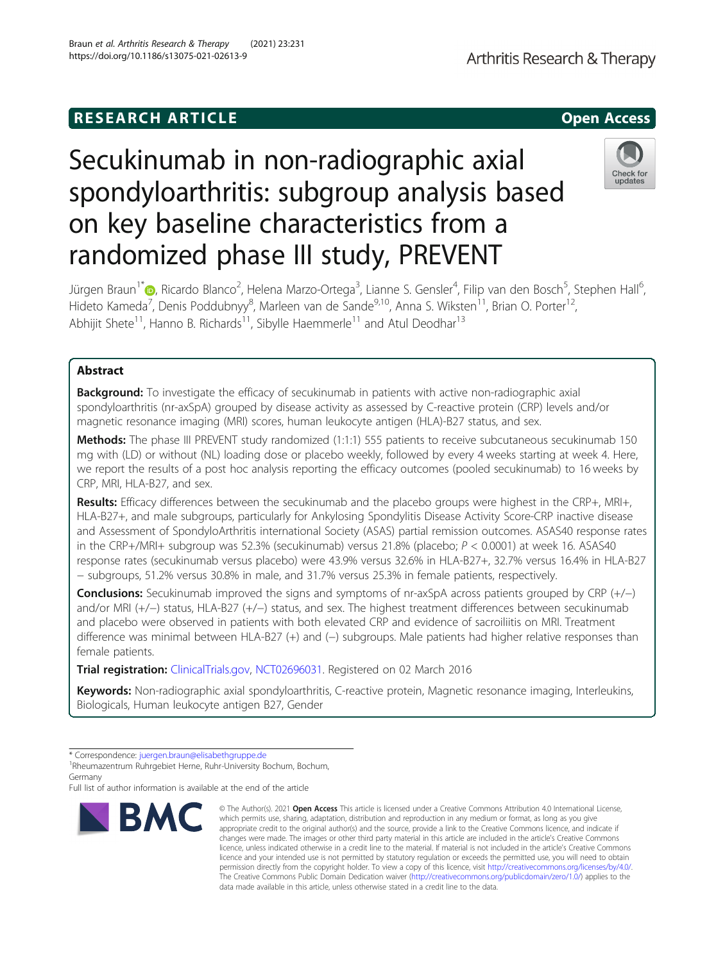## **RESEARCH ARTICLE Example 2014 12:30 The SEAR CH ACCESS**

# Secukinumab in non-radiographic axial spondyloarthritis: subgroup analysis based on key baseline characteristics from a randomized phase III study, PREVENT

Jürgen Braun<sup>1\*</sup>�[,](https://orcid.org/0000-0002-9156-5095) Ricardo Blanco<sup>2</sup>, Helena Marzo-Ortega<sup>3</sup>, Lianne S. Gensler<sup>4</sup>, Filip van den Bosch<sup>5</sup>, Stephen Hall<sup>6</sup> , Hideto Kameda<sup>7</sup>, Denis Poddubnyy<sup>8</sup>, Marleen van de Sande<sup>9,10</sup>, Anna S. Wiksten<sup>11</sup>, Brian O. Porter<sup>12</sup>, Abhijit Shete<sup>11</sup>, Hanno B. Richards<sup>11</sup>, Sibylle Haemmerle<sup>11</sup> and Atul Deodhar<sup>13</sup>

### Abstract

**Background:** To investigate the efficacy of secukinumab in patients with active non-radiographic axial spondyloarthritis (nr-axSpA) grouped by disease activity as assessed by C-reactive protein (CRP) levels and/or magnetic resonance imaging (MRI) scores, human leukocyte antigen (HLA)-B27 status, and sex.

Methods: The phase III PREVENT study randomized (1:1:1) 555 patients to receive subcutaneous secukinumab 150 mg with (LD) or without (NL) loading dose or placebo weekly, followed by every 4 weeks starting at week 4. Here, we report the results of a post hoc analysis reporting the efficacy outcomes (pooled secukinumab) to 16 weeks by CRP, MRI, HLA-B27, and sex.

Results: Efficacy differences between the secukinumab and the placebo groups were highest in the CRP+, MRI+, HLA-B27+, and male subgroups, particularly for Ankylosing Spondylitis Disease Activity Score-CRP inactive disease and Assessment of SpondyloArthritis international Society (ASAS) partial remission outcomes. ASAS40 response rates in the CRP+/MRI+ subgroup was 52.3% (secukinumab) versus 21.8% (placebo; P < 0.0001) at week 16. ASAS40 response rates (secukinumab versus placebo) were 43.9% versus 32.6% in HLA-B27+, 32.7% versus 16.4% in HLA-B27 − subgroups, 51.2% versus 30.8% in male, and 31.7% versus 25.3% in female patients, respectively.

**Conclusions:** Secukinumab improved the signs and symptoms of nr-axSpA across patients grouped by CRP  $(+/-)$ and/or MRI (+/−) status, HLA-B27 (+/−) status, and sex. The highest treatment differences between secukinumab and placebo were observed in patients with both elevated CRP and evidence of sacroiliitis on MRI. Treatment difference was minimal between HLA-B27 (+) and (-) subgroups. Male patients had higher relative responses than female patients.

Trial registration: [ClinicalTrials.gov](http://clinicaltrials.gov), [NCT02696031.](https://clinicaltrials.gov/ct2/show/NCT02696031?term=NCT02696031&draw=2&rank=1) Registered on 02 March 2016

Keywords: Non-radiographic axial spondyloarthritis, C-reactive protein, Magnetic resonance imaging, Interleukins, Biologicals, Human leukocyte antigen B27, Gender

Full list of author information is available at the end of the article

© The Author(s), 2021 **Open Access** This article is licensed under a Creative Commons Attribution 4.0 International License, which permits use, sharing, adaptation, distribution and reproduction in any medium or format, as long as you give





<sup>\*</sup> Correspondence: [juergen.braun@elisabethgruppe.de](mailto:juergen.braun@elisabethgruppe.de) <sup>1</sup>

<sup>&</sup>lt;sup>1</sup>Rheumazentrum Ruhrgebiet Herne, Ruhr-University Bochum, Bochum, Germany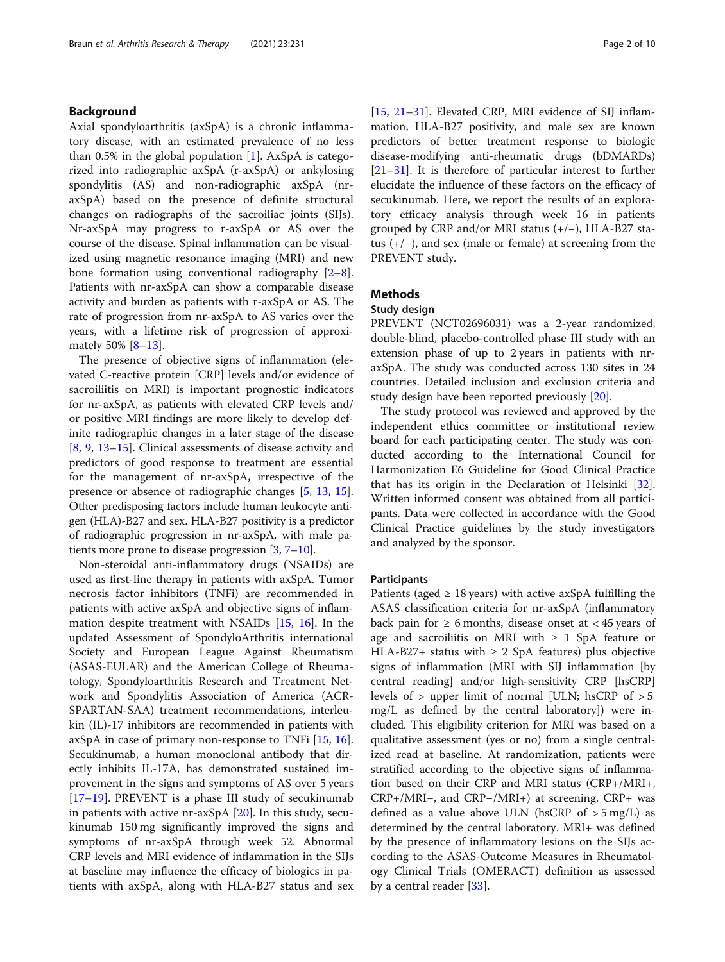#### Background

Axial spondyloarthritis (axSpA) is a chronic inflammatory disease, with an estimated prevalence of no less than 0.5% in the global population  $[1]$  $[1]$ . AxSpA is categorized into radiographic axSpA (r-axSpA) or ankylosing spondylitis (AS) and non-radiographic axSpA (nraxSpA) based on the presence of definite structural changes on radiographs of the sacroiliac joints (SIJs). Nr-axSpA may progress to r-axSpA or AS over the course of the disease. Spinal inflammation can be visualized using magnetic resonance imaging (MRI) and new bone formation using conventional radiography [\[2](#page-8-0)–[8](#page-9-0)]. Patients with nr-axSpA can show a comparable disease activity and burden as patients with r-axSpA or AS. The rate of progression from nr-axSpA to AS varies over the years, with a lifetime risk of progression of approximately 50% [[8](#page-9-0)–[13](#page-9-0)].

The presence of objective signs of inflammation (elevated C-reactive protein [CRP] levels and/or evidence of sacroiliitis on MRI) is important prognostic indicators for nr-axSpA, as patients with elevated CRP levels and/ or positive MRI findings are more likely to develop definite radiographic changes in a later stage of the disease [[8,](#page-9-0) [9,](#page-9-0) [13](#page-9-0)–[15\]](#page-9-0). Clinical assessments of disease activity and predictors of good response to treatment are essential for the management of nr-axSpA, irrespective of the presence or absence of radiographic changes [\[5](#page-8-0), [13,](#page-9-0) [15](#page-9-0)]. Other predisposing factors include human leukocyte antigen (HLA)-B27 and sex. HLA-B27 positivity is a predictor of radiographic progression in nr-axSpA, with male patients more prone to disease progression  $[3, 7-10]$  $[3, 7-10]$  $[3, 7-10]$  $[3, 7-10]$  $[3, 7-10]$  $[3, 7-10]$ .

Non-steroidal anti-inflammatory drugs (NSAIDs) are used as first-line therapy in patients with axSpA. Tumor necrosis factor inhibitors (TNFi) are recommended in patients with active axSpA and objective signs of inflammation despite treatment with NSAIDs [[15](#page-9-0), [16](#page-9-0)]. In the updated Assessment of SpondyloArthritis international Society and European League Against Rheumatism (ASAS-EULAR) and the American College of Rheumatology, Spondyloarthritis Research and Treatment Network and Spondylitis Association of America (ACR-SPARTAN-SAA) treatment recommendations, interleukin (IL)-17 inhibitors are recommended in patients with axSpA in case of primary non-response to TNFi [\[15](#page-9-0), [16](#page-9-0)]. Secukinumab, a human monoclonal antibody that directly inhibits IL-17A, has demonstrated sustained improvement in the signs and symptoms of AS over 5 years [[17](#page-9-0)–[19](#page-9-0)]. PREVENT is a phase III study of secukinumab in patients with active nr-axSpA [[20\]](#page-9-0). In this study, secukinumab 150 mg significantly improved the signs and symptoms of nr-axSpA through week 52. Abnormal CRP levels and MRI evidence of inflammation in the SIJs at baseline may influence the efficacy of biologics in patients with axSpA, along with HLA-B27 status and sex [[15,](#page-9-0) [21](#page-9-0)–[31](#page-9-0)]. Elevated CRP, MRI evidence of SIJ inflammation, HLA-B27 positivity, and male sex are known predictors of better treatment response to biologic disease-modifying anti-rheumatic drugs (bDMARDs) [[21](#page-9-0)–[31](#page-9-0)]. It is therefore of particular interest to further elucidate the influence of these factors on the efficacy of secukinumab. Here, we report the results of an exploratory efficacy analysis through week 16 in patients grouped by CRP and/or MRI status (+/−), HLA-B27 status (+/−), and sex (male or female) at screening from the PREVENT study.

#### Methods

#### Study design

PREVENT (NCT02696031) was a 2-year randomized, double-blind, placebo-controlled phase III study with an extension phase of up to 2 years in patients with nraxSpA. The study was conducted across 130 sites in 24 countries. Detailed inclusion and exclusion criteria and study design have been reported previously [[20\]](#page-9-0).

The study protocol was reviewed and approved by the independent ethics committee or institutional review board for each participating center. The study was conducted according to the International Council for Harmonization E6 Guideline for Good Clinical Practice that has its origin in the Declaration of Helsinki [\[32](#page-9-0)]. Written informed consent was obtained from all participants. Data were collected in accordance with the Good Clinical Practice guidelines by the study investigators and analyzed by the sponsor.

#### Participants

Patients (aged  $\geq$  18 years) with active axSpA fulfilling the ASAS classification criteria for nr-axSpA (inflammatory back pain for  $\geq 6$  months, disease onset at < 45 years of age and sacroiliitis on MRI with  $\geq 1$  SpA feature or HLA-B27+ status with  $\geq$  2 SpA features) plus objective signs of inflammation (MRI with SIJ inflammation [by central reading] and/or high-sensitivity CRP [hsCRP] levels of > upper limit of normal [ULN; hsCRP of > 5 mg/L as defined by the central laboratory]) were included. This eligibility criterion for MRI was based on a qualitative assessment (yes or no) from a single centralized read at baseline. At randomization, patients were stratified according to the objective signs of inflammation based on their CRP and MRI status (CRP+/MRI+, CRP+/MRI−, and CRP−/MRI+) at screening. CRP+ was defined as a value above ULN (hsCRP of  $>$  5 mg/L) as determined by the central laboratory. MRI+ was defined by the presence of inflammatory lesions on the SIJs according to the ASAS-Outcome Measures in Rheumatology Clinical Trials (OMERACT) definition as assessed by a central reader [\[33](#page-9-0)].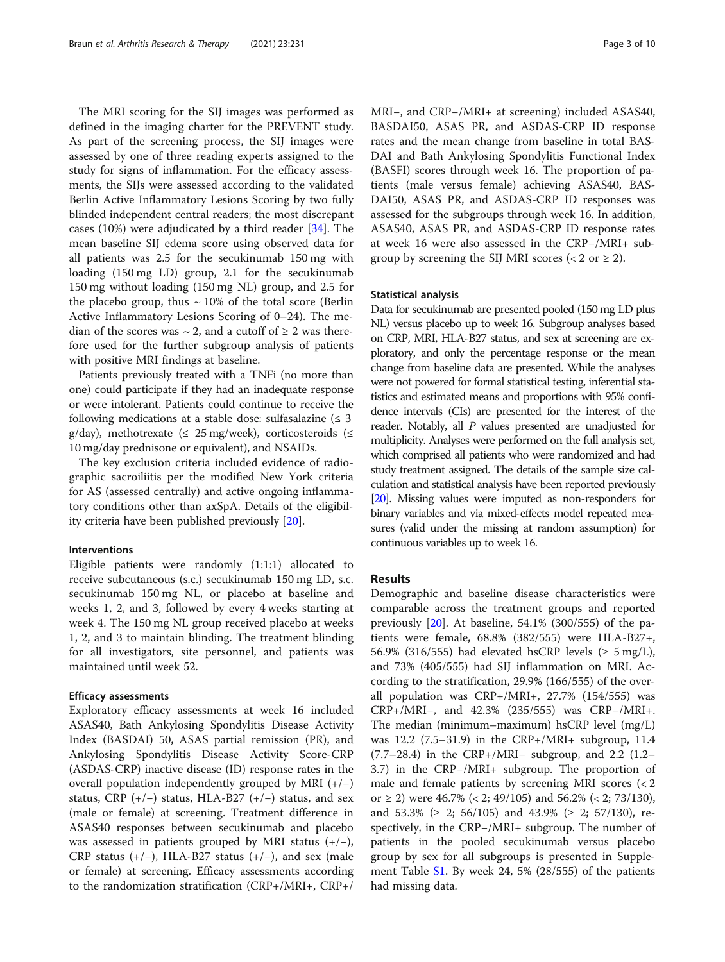The MRI scoring for the SIJ images was performed as defined in the imaging charter for the PREVENT study. As part of the screening process, the SIJ images were assessed by one of three reading experts assigned to the study for signs of inflammation. For the efficacy assessments, the SIJs were assessed according to the validated Berlin Active Inflammatory Lesions Scoring by two fully blinded independent central readers; the most discrepant cases (10%) were adjudicated by a third reader [[34\]](#page-9-0). The mean baseline SIJ edema score using observed data for all patients was 2.5 for the secukinumab 150 mg with loading (150 mg LD) group, 2.1 for the secukinumab 150 mg without loading (150 mg NL) group, and 2.5 for the placebo group, thus  $\sim$  10% of the total score (Berlin Active Inflammatory Lesions Scoring of 0–24). The median of the scores was  $\sim$  2, and a cutoff of  $\geq$  2 was therefore used for the further subgroup analysis of patients with positive MRI findings at baseline.

Patients previously treated with a TNFi (no more than one) could participate if they had an inadequate response or were intolerant. Patients could continue to receive the following medications at a stable dose: sulfasalazine  $( \leq 3$ g/day), methotrexate ( $\leq$  25 mg/week), corticosteroids ( $\leq$ 10 mg/day prednisone or equivalent), and NSAIDs.

The key exclusion criteria included evidence of radiographic sacroiliitis per the modified New York criteria for AS (assessed centrally) and active ongoing inflammatory conditions other than axSpA. Details of the eligibility criteria have been published previously [\[20](#page-9-0)].

#### Interventions

Eligible patients were randomly (1:1:1) allocated to receive subcutaneous (s.c.) secukinumab 150 mg LD, s.c. secukinumab 150 mg NL, or placebo at baseline and weeks 1, 2, and 3, followed by every 4 weeks starting at week 4. The 150 mg NL group received placebo at weeks 1, 2, and 3 to maintain blinding. The treatment blinding for all investigators, site personnel, and patients was maintained until week 52.

#### Efficacy assessments

Exploratory efficacy assessments at week 16 included ASAS40, Bath Ankylosing Spondylitis Disease Activity Index (BASDAI) 50, ASAS partial remission (PR), and Ankylosing Spondylitis Disease Activity Score-CRP (ASDAS-CRP) inactive disease (ID) response rates in the overall population independently grouped by MRI (+/−) status, CRP  $(+/-)$  status, HLA-B27  $(+/-)$  status, and sex (male or female) at screening. Treatment difference in ASAS40 responses between secukinumab and placebo was assessed in patients grouped by MRI status  $(+/-)$ , CRP status (+/−), HLA-B27 status (+/−), and sex (male or female) at screening. Efficacy assessments according to the randomization stratification (CRP+/MRI+, CRP+/ MRI−, and CRP−/MRI+ at screening) included ASAS40, BASDAI50, ASAS PR, and ASDAS-CRP ID response rates and the mean change from baseline in total BAS-DAI and Bath Ankylosing Spondylitis Functional Index (BASFI) scores through week 16. The proportion of patients (male versus female) achieving ASAS40, BAS-DAI50, ASAS PR, and ASDAS-CRP ID responses was assessed for the subgroups through week 16. In addition, ASAS40, ASAS PR, and ASDAS-CRP ID response rates at week 16 were also assessed in the CRP−/MRI+ subgroup by screening the SIJ MRI scores  $(< 2$  or  $\geq 2$ ).

#### Statistical analysis

Data for secukinumab are presented pooled (150 mg LD plus NL) versus placebo up to week 16. Subgroup analyses based on CRP, MRI, HLA-B27 status, and sex at screening are exploratory, and only the percentage response or the mean change from baseline data are presented. While the analyses were not powered for formal statistical testing, inferential statistics and estimated means and proportions with 95% confidence intervals (CIs) are presented for the interest of the reader. Notably, all P values presented are unadjusted for multiplicity. Analyses were performed on the full analysis set, which comprised all patients who were randomized and had study treatment assigned. The details of the sample size calculation and statistical analysis have been reported previously [[20\]](#page-9-0). Missing values were imputed as non-responders for binary variables and via mixed-effects model repeated measures (valid under the missing at random assumption) for continuous variables up to week 16.

#### Results

Demographic and baseline disease characteristics were comparable across the treatment groups and reported previously [\[20](#page-9-0)]. At baseline, 54.1% (300/555) of the patients were female, 68.8% (382/555) were HLA-B27+, 56.9% (316/555) had elevated hsCRP levels ( $\geq$  5 mg/L), and 73% (405/555) had SIJ inflammation on MRI. According to the stratification, 29.9% (166/555) of the overall population was CRP+/MRI+, 27.7% (154/555) was CRP+/MRI−, and 42.3% (235/555) was CRP−/MRI+. The median (minimum–maximum) hsCRP level (mg/L) was 12.2 (7.5–31.9) in the CRP+/MRI+ subgroup, 11.4 (7.7–28.4) in the CRP+/MRI− subgroup, and 2.2 (1.2– 3.7) in the CRP−/MRI+ subgroup. The proportion of male and female patients by screening MRI scores (< 2 or ≥ 2) were  $46.7\%$  (< 2; 49/105) and  $56.2\%$  (< 2; 73/130), and 53.3% ( $\geq$  2; 56/105) and 43.9% ( $\geq$  2; 57/130), respectively, in the CRP−/MRI+ subgroup. The number of patients in the pooled secukinumab versus placebo group by sex for all subgroups is presented in Supplement Table  $S1$ . By week 24, 5% (28/555) of the patients had missing data.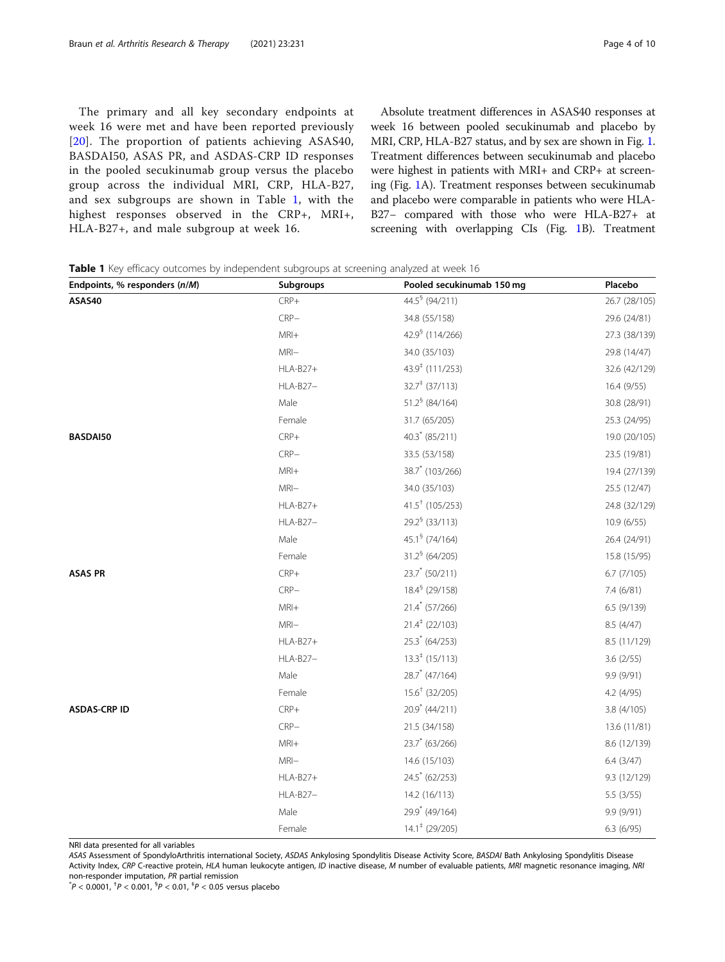The primary and all key secondary endpoints at week 16 were met and have been reported previously [[20](#page-9-0)]. The proportion of patients achieving ASAS40, BASDAI50, ASAS PR, and ASDAS-CRP ID responses in the pooled secukinumab group versus the placebo group across the individual MRI, CRP, HLA-B27, and sex subgroups are shown in Table 1, with the highest responses observed in the CRP+, MRI+, HLA-B27+, and male subgroup at week 16.

Absolute treatment differences in ASAS40 responses at week 16 between pooled secukinumab and placebo by MRI, CRP, HLA-B27 status, and by sex are shown in Fig. [1](#page-4-0). Treatment differences between secukinumab and placebo were highest in patients with MRI+ and CRP+ at screening (Fig. [1A](#page-4-0)). Treatment responses between secukinumab and placebo were comparable in patients who were HLA-B27− compared with those who were HLA-B27+ at screening with overlapping CIs (Fig. [1B](#page-4-0)). Treatment

|  |  |  |  | <b>Table 1</b> Key efficacy outcomes by independent subgroups at screening analyzed at week 16 |  |  |  |
|--|--|--|--|------------------------------------------------------------------------------------------------|--|--|--|
|--|--|--|--|------------------------------------------------------------------------------------------------|--|--|--|

| Endpoints, % responders (n/M) | <b>Subgroups</b> | Pooled secukinumab 150 mg     | Placebo       |
|-------------------------------|------------------|-------------------------------|---------------|
| ASAS40                        | $CRP+$           | 44.5 (94/211)                 | 26.7 (28/105) |
|                               | $CRP-$           | 34.8 (55/158)                 | 29.6 (24/81)  |
|                               | $MRI+$           | 42.9 (114/266)                | 27.3 (38/139) |
|                               | $MRI -$          | 34.0 (35/103)                 | 29.8 (14/47)  |
|                               | <b>HLA-B27+</b>  | 43.9 <sup>‡</sup> (111/253)   | 32.6 (42/129) |
|                               | HLA-B27-         | $32.7^{\ddagger}$ (37/113)    | 16.4(9/55)    |
|                               | Male             | $51.2^{\frac{6}{5}}$ (84/164) | 30.8 (28/91)  |
|                               | Female           | 31.7 (65/205)                 | 25.3 (24/95)  |
| BASDAI50                      | $CRP+$           | $40.3$ <sup>*</sup> (85/211)  | 19.0 (20/105) |
|                               | $CRP-$           | 33.5 (53/158)                 | 23.5 (19/81)  |
|                               | $MRI+$           | 38.7 (103/266)                | 19.4 (27/139) |
|                               | $MRI -$          | 34.0 (35/103)                 | 25.5 (12/47)  |
|                               | <b>HLA-B27+</b>  | $41.5^{\dagger}$ (105/253)    | 24.8 (32/129) |
|                               | HLA-B27-         | $29.2^6$ (33/113)             | 10.9(6/55)    |
|                               | Male             | 45.1 <sup>§</sup> (74/164)    | 26.4 (24/91)  |
|                               | Female           | $31.26$ (64/205)              | 15.8 (15/95)  |
| <b>ASAS PR</b>                | $CRP+$           | 23.7 (50/211)                 | 6.7 (7/105)   |
|                               | $CRP-$           | 18.4 <sup>§</sup> (29/158)    | 7.4 (6/81)    |
|                               | $MRI +$          | $21.4$ (57/266)               | 6.5(9/139)    |
|                               | $MRI -$          | $21.4^{\ddagger}$ (22/103)    | 8.5(4/47)     |
|                               | <b>HLA-B27+</b>  | $25.3$ (64/253)               | 8.5 (11/129)  |
|                               | HLA-B27-         | $13.3^{\ddagger}$ (15/113)    | 3.6(2/55)     |
|                               | Male             | $28.7$ <sup>*</sup> (47/164)  | 9.9 (9/91)    |
|                               | Female           | $15.6^{\dagger}$ (32/205)     | 4.2 (4/95)    |
| <b>ASDAS-CRP ID</b>           | $CRP+$           | 20.9 (44/211)                 | 3.8(4/105)    |
|                               | $CRP-$           | 21.5 (34/158)                 | 13.6 (11/81)  |
|                               | $MRI +$          | $23.7$ (63/266)               | 8.6 (12/139)  |
|                               | $MRI -$          | 14.6 (15/103)                 | 6.4(3/47)     |
|                               | <b>HLA-B27+</b>  | 24.5 (62/253)                 | 9.3 (12/129)  |
|                               | HLA-B27-         | 14.2 (16/113)                 | 5.5 (3/55)    |
|                               | Male             | 29.9 (49/164)                 | 9.9 (9/91)    |
|                               | Female           | $14.1^{\ddagger}$ (29/205)    | 6.3(6/95)     |

NRI data presented for all variables

ASAS Assessment of SpondyloArthritis international Society, ASDAS Ankylosing Spondylitis Disease Activity Score, BASDAI Bath Ankylosing Spondylitis Disease Activity Index, CRP C-reactive protein, HLA human leukocyte antigen, ID inactive disease, M number of evaluable patients, MRI magnetic resonance imaging, NRI non-responder imputation, PR partial remission \*

 $P < 0.0001$ , <sup>†</sup> $P < 0.001$ , <sup>§</sup> $P < 0.01$ , <sup>‡</sup> $P < 0.05$  versus placebo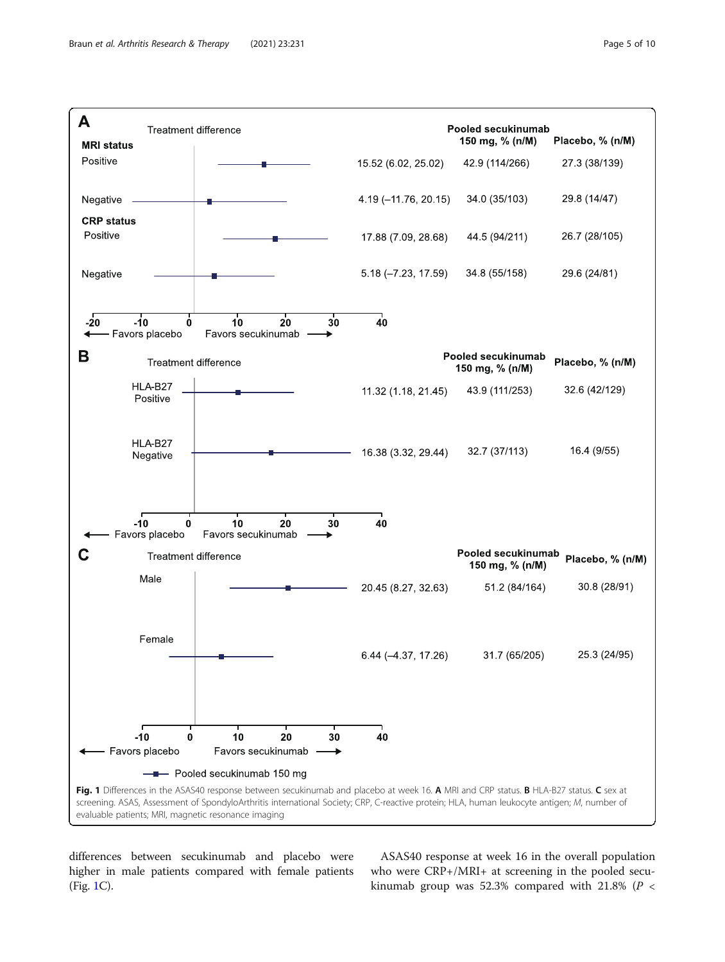<span id="page-4-0"></span>

differences between secukinumab and placebo were higher in male patients compared with female patients (Fig. 1C).

ASAS40 response at week 16 in the overall population who were CRP+/MRI+ at screening in the pooled secukinumab group was 52.3% compared with 21.8% ( $P <$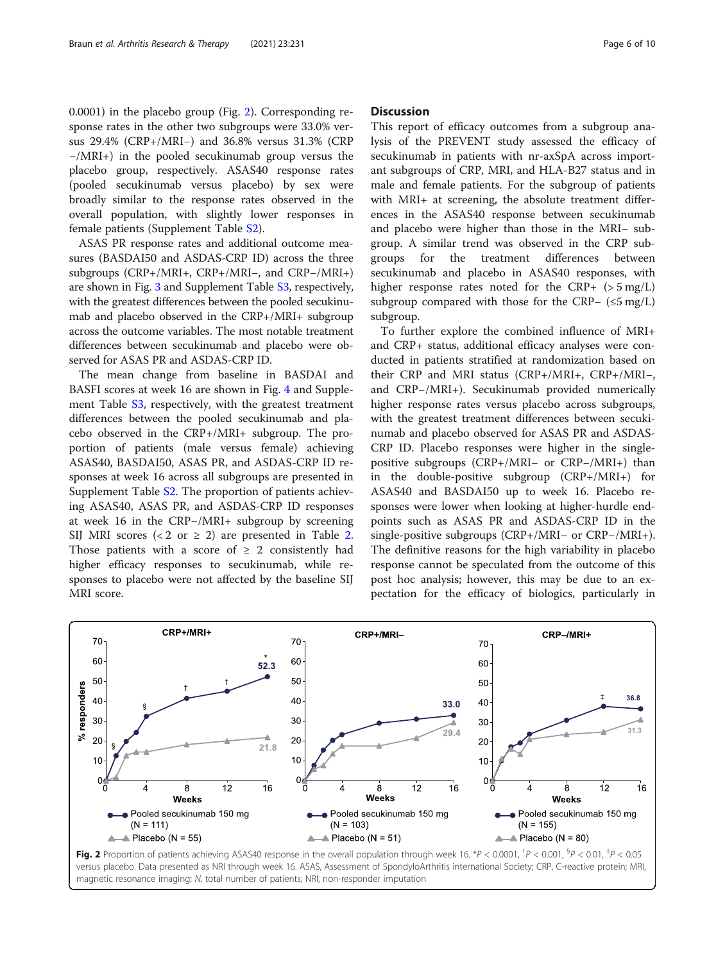0.0001) in the placebo group (Fig. 2). Corresponding response rates in the other two subgroups were 33.0% versus 29.4% (CRP+/MRI−) and 36.8% versus 31.3% (CRP −/MRI+) in the pooled secukinumab group versus the placebo group, respectively. ASAS40 response rates (pooled secukinumab versus placebo) by sex were broadly similar to the response rates observed in the overall population, with slightly lower responses in female patients (Supplement Table [S2](#page-8-0)).

ASAS PR response rates and additional outcome measures (BASDAI50 and ASDAS-CRP ID) across the three subgroups (CRP+/MRI+, CRP+/MRI−, and CRP−/MRI+) are shown in Fig. [3](#page-6-0) and Supplement Table [S3](#page-8-0), respectively, with the greatest differences between the pooled secukinumab and placebo observed in the CRP+/MRI+ subgroup across the outcome variables. The most notable treatment differences between secukinumab and placebo were observed for ASAS PR and ASDAS-CRP ID.

The mean change from baseline in BASDAI and BASFI scores at week 16 are shown in Fig. [4](#page-6-0) and Supplement Table [S3](#page-8-0), respectively, with the greatest treatment differences between the pooled secukinumab and placebo observed in the CRP+/MRI+ subgroup. The proportion of patients (male versus female) achieving ASAS40, BASDAI50, ASAS PR, and ASDAS-CRP ID responses at week 16 across all subgroups are presented in Supplement Table [S2](#page-8-0). The proportion of patients achieving ASAS40, ASAS PR, and ASDAS-CRP ID responses at week 16 in the CRP−/MRI+ subgroup by screening SIJ MRI scores (< [2](#page-7-0) or  $\geq$  2) are presented in Table 2. Those patients with a score of  $\geq 2$  consistently had higher efficacy responses to secukinumab, while responses to placebo were not affected by the baseline SIJ MRI score.

#### **Discussion**

This report of efficacy outcomes from a subgroup analysis of the PREVENT study assessed the efficacy of secukinumab in patients with nr-axSpA across important subgroups of CRP, MRI, and HLA-B27 status and in male and female patients. For the subgroup of patients with MRI+ at screening, the absolute treatment differences in the ASAS40 response between secukinumab and placebo were higher than those in the MRI− subgroup. A similar trend was observed in the CRP subgroups for the treatment differences between secukinumab and placebo in ASAS40 responses, with higher response rates noted for the  $CRP+$  ( $> 5 \text{ mg/L}$ ) subgroup compared with those for the CRP− (≤5 mg/L) subgroup.

To further explore the combined influence of MRI+ and CRP+ status, additional efficacy analyses were conducted in patients stratified at randomization based on their CRP and MRI status (CRP+/MRI+, CRP+/MRI−, and CRP−/MRI+). Secukinumab provided numerically higher response rates versus placebo across subgroups, with the greatest treatment differences between secukinumab and placebo observed for ASAS PR and ASDAS-CRP ID. Placebo responses were higher in the singlepositive subgroups (CRP+/MRI− or CRP−/MRI+) than in the double-positive subgroup (CRP+/MRI+) for ASAS40 and BASDAI50 up to week 16. Placebo responses were lower when looking at higher-hurdle endpoints such as ASAS PR and ASDAS-CRP ID in the single-positive subgroups (CRP+/MRI− or CRP−/MRI+). The definitive reasons for the high variability in placebo response cannot be speculated from the outcome of this post hoc analysis; however, this may be due to an expectation for the efficacy of biologics, particularly in



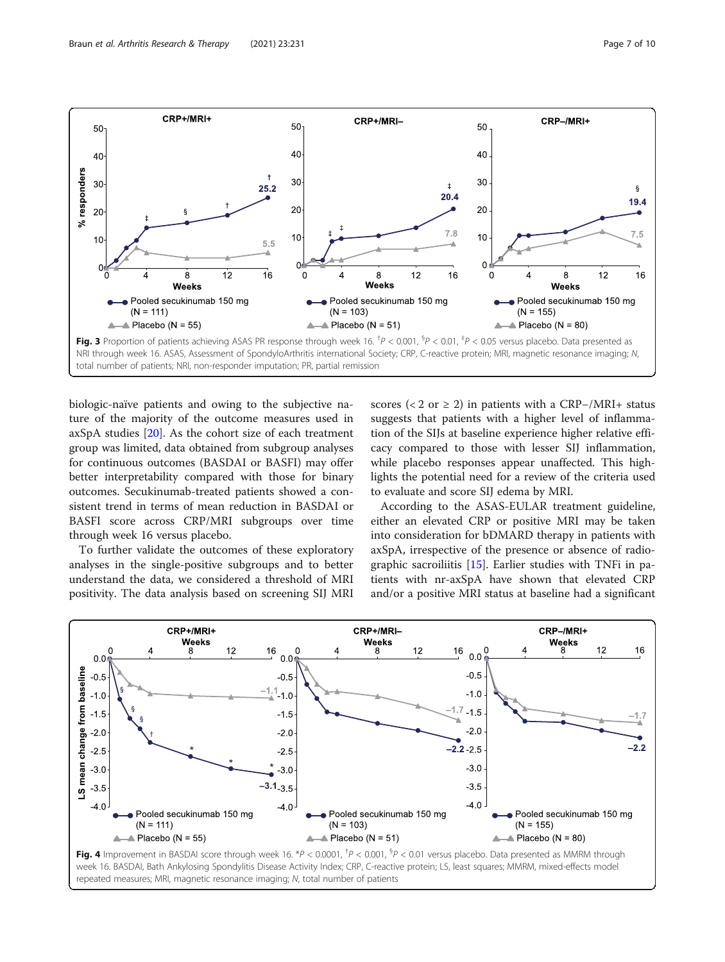<span id="page-6-0"></span>Braun et al. Arthritis Research & Therapy (2021) 23:231 Page 7 of 10



biologic-naïve patients and owing to the subjective nature of the majority of the outcome measures used in axSpA studies [[20\]](#page-9-0). As the cohort size of each treatment group was limited, data obtained from subgroup analyses for continuous outcomes (BASDAI or BASFI) may offer better interpretability compared with those for binary outcomes. Secukinumab-treated patients showed a consistent trend in terms of mean reduction in BASDAI or BASFI score across CRP/MRI subgroups over time through week 16 versus placebo.

To further validate the outcomes of these exploratory analyses in the single-positive subgroups and to better understand the data, we considered a threshold of MRI positivity. The data analysis based on screening SIJ MRI

scores (< 2 or  $\ge$  2) in patients with a CRP-/MRI+ status suggests that patients with a higher level of inflammation of the SIJs at baseline experience higher relative efficacy compared to those with lesser SIJ inflammation, while placebo responses appear unaffected. This highlights the potential need for a review of the criteria used to evaluate and score SIJ edema by MRI.

According to the ASAS-EULAR treatment guideline, either an elevated CRP or positive MRI may be taken into consideration for bDMARD therapy in patients with axSpA, irrespective of the presence or absence of radiographic sacroiliitis [\[15](#page-9-0)]. Earlier studies with TNFi in patients with nr-axSpA have shown that elevated CRP and/or a positive MRI status at baseline had a significant



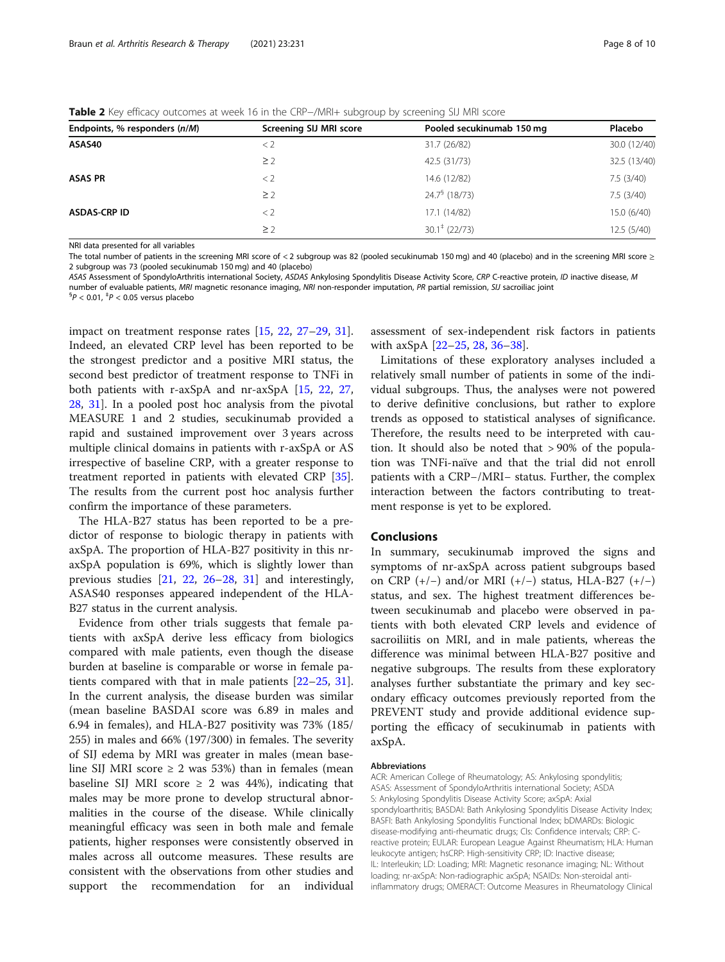<span id="page-7-0"></span>Table 2 Key efficacy outcomes at week 16 in the CRP−/MRI+ subgroup by screening SIJ MRI score

| Endpoints, % responders (n/M) | Screening SIJ MRI score | Pooled secukinumab 150 mg | Placebo      |
|-------------------------------|-------------------------|---------------------------|--------------|
| ASAS40                        | $<$ 2                   | 31.7 (26/82)              | 30.0 (12/40) |
|                               | $\geq$ 2                | 42.5 (31/73)              | 32.5 (13/40) |
| <b>ASAS PR</b>                | $<$ 2                   | 14.6 (12/82)              | 7.5(3/40)    |
|                               | $\geq$ 2                | $24.76$ (18/73)           | 7.5(3/40)    |
| ASDAS-CRP ID                  | $\lt 2$                 | 17.1 (14/82)              | 15.0 (6/40)  |
|                               | $\geq$ 2                | $30.1^{\ddagger}$ (22/73) | 12.5(5/40)   |
|                               |                         |                           |              |

NRI data presented for all variables

The total number of patients in the screening MRI score of < 2 subgroup was 82 (pooled secukinumab 150 mg) and 40 (placebo) and in the screening MRI score ≥ 2 subgroup was 73 (pooled secukinumab 150 mg) and 40 (placebo)

ASAS Assessment of SpondyloArthritis international Society, ASDAS Ankylosing Spondylitis Disease Activity Score, CRP C-reactive protein, ID inactive disease, M number of evaluable patients, MRI magnetic resonance imaging, NRI non-responder imputation, PR partial remission, SIJ sacroiliac joint

 $P < 0.01$ ,  $^{4}P < 0.05$  versus placebo

impact on treatment response rates [\[15](#page-9-0), [22,](#page-9-0) [27](#page-9-0)–[29](#page-9-0), [31](#page-9-0)]. Indeed, an elevated CRP level has been reported to be the strongest predictor and a positive MRI status, the second best predictor of treatment response to TNFi in both patients with r-axSpA and nr-axSpA [\[15,](#page-9-0) [22,](#page-9-0) [27](#page-9-0), [28,](#page-9-0) [31\]](#page-9-0). In a pooled post hoc analysis from the pivotal MEASURE 1 and 2 studies, secukinumab provided a rapid and sustained improvement over 3 years across multiple clinical domains in patients with r-axSpA or AS irrespective of baseline CRP, with a greater response to treatment reported in patients with elevated CRP [\[35](#page-9-0)]. The results from the current post hoc analysis further confirm the importance of these parameters.

The HLA-B27 status has been reported to be a predictor of response to biologic therapy in patients with axSpA. The proportion of HLA-B27 positivity in this nraxSpA population is 69%, which is slightly lower than previous studies [[21,](#page-9-0) [22,](#page-9-0) [26](#page-9-0)–[28,](#page-9-0) [31\]](#page-9-0) and interestingly, ASAS40 responses appeared independent of the HLA-B27 status in the current analysis.

Evidence from other trials suggests that female patients with axSpA derive less efficacy from biologics compared with male patients, even though the disease burden at baseline is comparable or worse in female patients compared with that in male patients [[22](#page-9-0)–[25](#page-9-0), [31](#page-9-0)]. In the current analysis, the disease burden was similar (mean baseline BASDAI score was 6.89 in males and 6.94 in females), and HLA-B27 positivity was 73% (185/ 255) in males and 66% (197/300) in females. The severity of SIJ edema by MRI was greater in males (mean baseline SIJ MRI score  $\geq$  2 was 53%) than in females (mean baseline SIJ MRI score  $\geq$  2 was 44%), indicating that males may be more prone to develop structural abnormalities in the course of the disease. While clinically meaningful efficacy was seen in both male and female patients, higher responses were consistently observed in males across all outcome measures. These results are consistent with the observations from other studies and support the recommendation for an individual

assessment of sex-independent risk factors in patients with axSpA [\[22](#page-9-0)–[25,](#page-9-0) [28](#page-9-0), [36](#page-9-0)–[38](#page-9-0)].

Limitations of these exploratory analyses included a relatively small number of patients in some of the individual subgroups. Thus, the analyses were not powered to derive definitive conclusions, but rather to explore trends as opposed to statistical analyses of significance. Therefore, the results need to be interpreted with caution. It should also be noted that > 90% of the population was TNFi-naïve and that the trial did not enroll patients with a CRP−/MRI− status. Further, the complex interaction between the factors contributing to treatment response is yet to be explored.

#### Conclusions

In summary, secukinumab improved the signs and symptoms of nr-axSpA across patient subgroups based on CRP (+/−) and/or MRI (+/−) status, HLA-B27 (+/−) status, and sex. The highest treatment differences between secukinumab and placebo were observed in patients with both elevated CRP levels and evidence of sacroiliitis on MRI, and in male patients, whereas the difference was minimal between HLA-B27 positive and negative subgroups. The results from these exploratory analyses further substantiate the primary and key secondary efficacy outcomes previously reported from the PREVENT study and provide additional evidence supporting the efficacy of secukinumab in patients with axSpA.

#### Abbreviations

ACR: American College of Rheumatology; AS: Ankylosing spondylitis; ASAS: Assessment of SpondyloArthritis international Society; ASDA S: Ankylosing Spondylitis Disease Activity Score; axSpA: Axial spondyloarthritis; BASDAI: Bath Ankylosing Spondylitis Disease Activity Index; BASFI: Bath Ankylosing Spondylitis Functional Index; bDMARDs: Biologic disease-modifying anti-rheumatic drugs; CIs: Confidence intervals; CRP: Creactive protein; EULAR: European League Against Rheumatism; HLA: Human leukocyte antigen; hsCRP: High-sensitivity CRP; ID: Inactive disease; IL: Interleukin; LD: Loading; MRI: Magnetic resonance imaging; NL: Without loading; nr-axSpA: Non-radiographic axSpA; NSAIDs: Non-steroidal antiinflammatory drugs; OMERACT: Outcome Measures in Rheumatology Clinical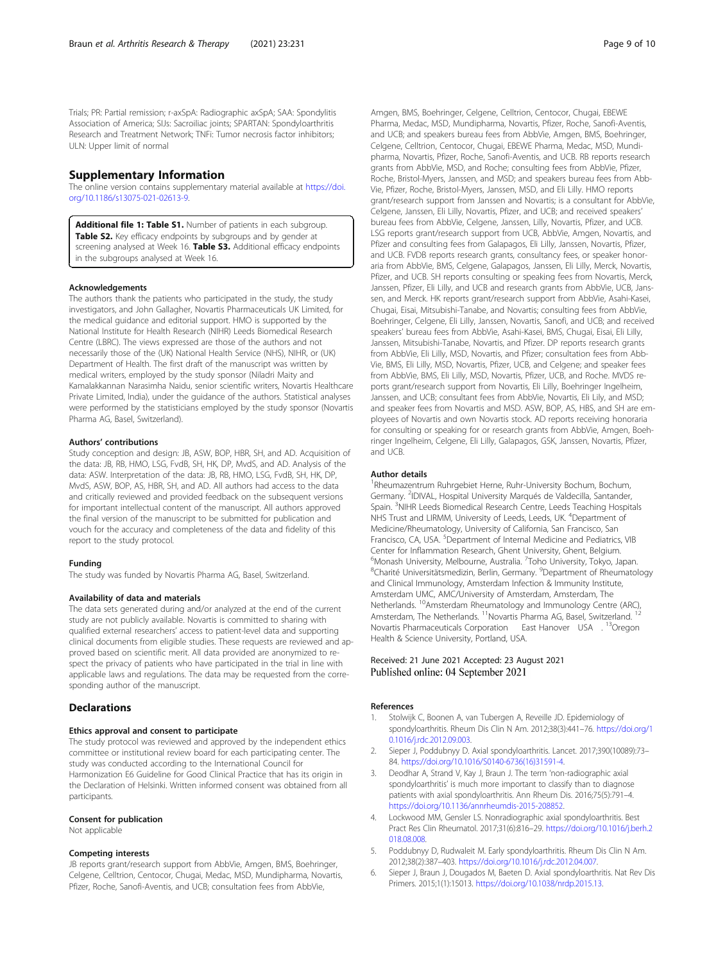<span id="page-8-0"></span>Trials; PR: Partial remission; r-axSpA: Radiographic axSpA; SAA: Spondylitis Association of America; SIJs: Sacroiliac joints; SPARTAN: Spondyloarthritis Research and Treatment Network; TNFi: Tumor necrosis factor inhibitors; ULN: Upper limit of normal

#### Supplementary Information

The online version contains supplementary material available at [https://doi.](https://doi.org/10.1186/s13075-021-02613-9) [org/10.1186/s13075-021-02613-9.](https://doi.org/10.1186/s13075-021-02613-9)

Additional file 1: Table S1. Number of patients in each subgroup. Table S2. Key efficacy endpoints by subgroups and by gender at screening analysed at Week 16. Table S3. Additional efficacy endpoints in the subgroups analysed at Week 16.

#### Acknowledgements

The authors thank the patients who participated in the study, the study investigators, and John Gallagher, Novartis Pharmaceuticals UK Limited, for the medical guidance and editorial support. HMO is supported by the National Institute for Health Research (NIHR) Leeds Biomedical Research Centre (LBRC). The views expressed are those of the authors and not necessarily those of the (UK) National Health Service (NHS), NIHR, or (UK) Department of Health. The first draft of the manuscript was written by medical writers, employed by the study sponsor (Niladri Maity and Kamalakkannan Narasimha Naidu, senior scientific writers, Novartis Healthcare Private Limited, India), under the guidance of the authors. Statistical analyses were performed by the statisticians employed by the study sponsor (Novartis Pharma AG, Basel, Switzerland).

#### Authors' contributions

Study conception and design: JB, ASW, BOP, HBR, SH, and AD. Acquisition of the data: JB, RB, HMO, LSG, FvdB, SH, HK, DP, MvdS, and AD. Analysis of the data: ASW. Interpretation of the data: JB, RB, HMO, LSG, FvdB, SH, HK, DP, MvdS, ASW, BOP, AS, HBR, SH, and AD. All authors had access to the data and critically reviewed and provided feedback on the subsequent versions for important intellectual content of the manuscript. All authors approved the final version of the manuscript to be submitted for publication and vouch for the accuracy and completeness of the data and fidelity of this report to the study protocol.

#### Funding

The study was funded by Novartis Pharma AG, Basel, Switzerland.

#### Availability of data and materials

The data sets generated during and/or analyzed at the end of the current study are not publicly available. Novartis is committed to sharing with qualified external researchers' access to patient-level data and supporting clinical documents from eligible studies. These requests are reviewed and approved based on scientific merit. All data provided are anonymized to respect the privacy of patients who have participated in the trial in line with applicable laws and regulations. The data may be requested from the corresponding author of the manuscript.

#### **Declarations**

#### Ethics approval and consent to participate

The study protocol was reviewed and approved by the independent ethics committee or institutional review board for each participating center. The study was conducted according to the International Council for Harmonization E6 Guideline for Good Clinical Practice that has its origin in the Declaration of Helsinki. Written informed consent was obtained from all participants.

#### Consent for publication

Not applicable

#### Competing interests

JB reports grant/research support from AbbVie, Amgen, BMS, Boehringer, Celgene, Celltrion, Centocor, Chugai, Medac, MSD, Mundipharma, Novartis, Pfizer, Roche, Sanofi-Aventis, and UCB; consultation fees from AbbVie,

Amgen, BMS, Boehringer, Celgene, Celltrion, Centocor, Chugai, EBEWE Pharma, Medac, MSD, Mundipharma, Novartis, Pfizer, Roche, Sanofi-Aventis, and UCB; and speakers bureau fees from AbbVie, Amgen, BMS, Boehringer, Celgene, Celltrion, Centocor, Chugai, EBEWE Pharma, Medac, MSD, Mundipharma, Novartis, Pfizer, Roche, Sanofi-Aventis, and UCB. RB reports research grants from AbbVie, MSD, and Roche; consulting fees from AbbVie, Pfizer, Roche, Bristol-Myers, Janssen, and MSD; and speakers bureau fees from Abb-Vie, Pfizer, Roche, Bristol-Myers, Janssen, MSD, and Eli Lilly. HMO reports grant/research support from Janssen and Novartis; is a consultant for AbbVie, Celgene, Janssen, Eli Lilly, Novartis, Pfizer, and UCB; and received speakers' bureau fees from AbbVie, Celgene, Janssen, Lilly, Novartis, Pfizer, and UCB. LSG reports grant/research support from UCB, AbbVie, Amgen, Novartis, and Pfizer and consulting fees from Galapagos, Eli Lilly, Janssen, Novartis, Pfizer, and UCB. FVDB reports research grants, consultancy fees, or speaker honoraria from AbbVie, BMS, Celgene, Galapagos, Janssen, Eli Lilly, Merck, Novartis, Pfizer, and UCB. SH reports consulting or speaking fees from Novartis, Merck, Janssen, Pfizer, Eli Lilly, and UCB and research grants from AbbVie, UCB, Janssen, and Merck. HK reports grant/research support from AbbVie, Asahi-Kasei, Chugai, Eisai, Mitsubishi-Tanabe, and Novartis; consulting fees from AbbVie, Boehringer, Celgene, Eli Lilly, Janssen, Novartis, Sanofi, and UCB; and received speakers' bureau fees from AbbVie, Asahi-Kasei, BMS, Chugai, Eisai, Eli Lilly, Janssen, Mitsubishi-Tanabe, Novartis, and Pfizer. DP reports research grants from AbbVie, Eli Lilly, MSD, Novartis, and Pfizer; consultation fees from Abb-Vie, BMS, Eli Lilly, MSD, Novartis, Pfizer, UCB, and Celgene; and speaker fees from AbbVie, BMS, Eli Lilly, MSD, Novartis, Pfizer, UCB, and Roche. MVDS reports grant/research support from Novartis, Eli Lilly, Boehringer Ingelheim, Janssen, and UCB; consultant fees from AbbVie, Novartis, Eli Lily, and MSD; and speaker fees from Novartis and MSD. ASW, BOP, AS, HBS, and SH are employees of Novartis and own Novartis stock. AD reports receiving honoraria for consulting or speaking for or research grants from AbbVie, Amgen, Boehringer Ingelheim, Celgene, Eli Lilly, Galapagos, GSK, Janssen, Novartis, Pfizer, and UCB.

#### Author details

1 Rheumazentrum Ruhrgebiet Herne, Ruhr-University Bochum, Bochum, Germany. <sup>2</sup>IDIVAL, Hospital University Marqués de Valdecilla, Santander, Spain. <sup>3</sup>NIHR Leeds Biomedical Research Centre, Leeds Teaching Hospitals NHS Trust and LIRMM, University of Leeds, Leeds, UK. <sup>4</sup>Department of Medicine/Rheumatology, University of California, San Francisco, San Francisco, CA, USA. <sup>5</sup>Department of Internal Medicine and Pediatrics, VIB Center for Inflammation Research, Ghent University, Ghent, Belgium. <sup>6</sup> Monash University, Melbourne, Australia. <sup>7</sup>Toho University, Tokyo, Japan.<br><sup>8</sup> Charitá Universitätemodizin, Berlin, Germany, <sup>9</sup>Denartment of Phoumato Charité Universitätsmedizin, Berlin, Germany. <sup>9</sup>Department of Rheumatology and Clinical Immunology, Amsterdam Infection & Immunity Institute, Amsterdam UMC, AMC/University of Amsterdam, Amsterdam, The Netherlands. 10Amsterdam Rheumatology and Immunology Centre (ARC), Amsterdam, The Netherlands. <sup>11</sup>Novartis Pharma AG, Basel, Switzerland. <sup>1</sup> Novartis Pharmaceuticals Corporation East Hanover USA . 13Oregon Health & Science University, Portland, USA.

#### Received: 21 June 2021 Accepted: 23 August 2021 Published online: 04 September 2021

#### References

- 1. Stolwijk C, Boonen A, van Tubergen A, Reveille JD. Epidemiology of spondyloarthritis. Rheum Dis Clin N Am. 2012;38(3):441–76. [https://doi.org/1](https://doi.org/10.1016/j.rdc.2012.09.003) [0.1016/j.rdc.2012.09.003](https://doi.org/10.1016/j.rdc.2012.09.003).
- 2. Sieper J, Poddubnyy D. Axial spondyloarthritis. Lancet. 2017;390(10089):73– 84. [https://doi.org/10.1016/S0140-6736\(16\)31591-4.](https://doi.org/10.1016/S0140-6736(16)31591-4)
- Deodhar A, Strand V, Kay J, Braun J. The term 'non-radiographic axial spondyloarthritis' is much more important to classify than to diagnose patients with axial spondyloarthritis. Ann Rheum Dis. 2016;75(5):791–4. [https://doi.org/10.1136/annrheumdis-2015-208852.](https://doi.org/10.1136/annrheumdis-2015-208852)
- 4. Lockwood MM, Gensler LS. Nonradiographic axial spondyloarthritis. Best Pract Res Clin Rheumatol. 2017;31(6):816–29. [https://doi.org/10.1016/j.berh.2](https://doi.org/10.1016/j.berh.2018.08.008) [018.08.008](https://doi.org/10.1016/j.berh.2018.08.008).
- 5. Poddubnyy D, Rudwaleit M. Early spondyloarthritis. Rheum Dis Clin N Am. 2012;38(2):387–403. <https://doi.org/10.1016/j.rdc.2012.04.007>.
- 6. Sieper J, Braun J, Dougados M, Baeten D. Axial spondyloarthritis. Nat Rev Dis Primers. 2015;1(1):15013. [https://doi.org/10.1038/nrdp.2015.13.](https://doi.org/10.1038/nrdp.2015.13)